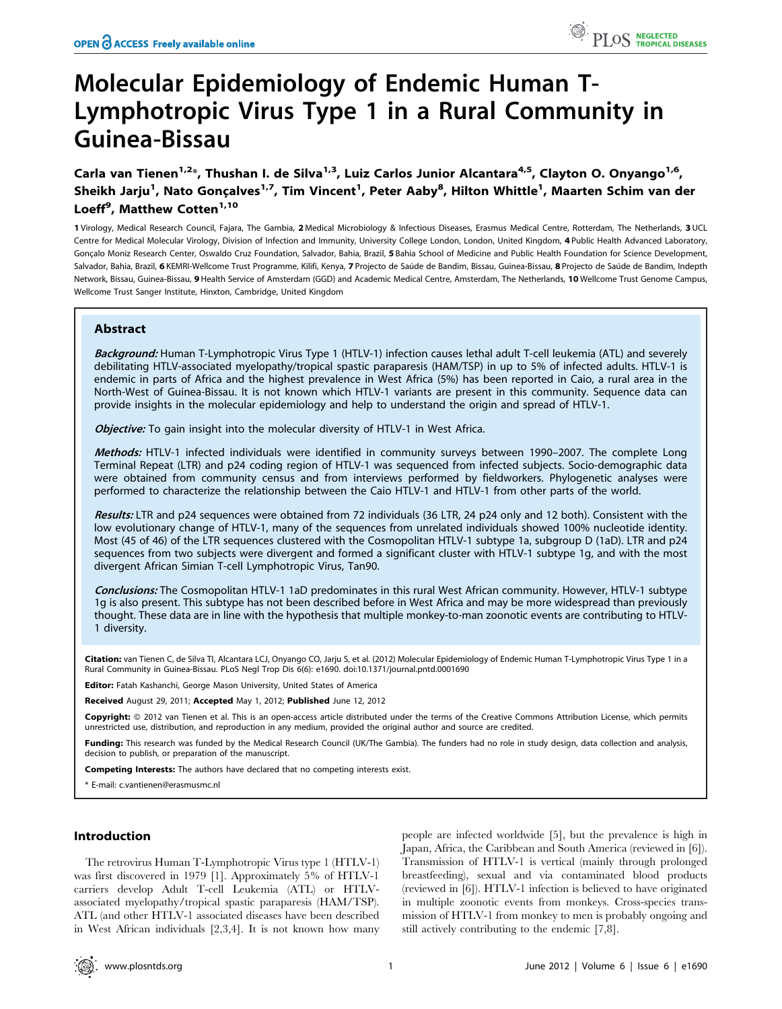# Molecular Epidemiology of Endemic Human T-Lymphotropic Virus Type 1 in a Rural Community in Guinea-Bissau

Carla van Tienen<sup>1,2\*</sup>, Thushan I. de Silva<sup>1,3</sup>, Luiz Carlos Junior Alcantara<sup>4,5</sup>, Clayton O. Onyango<sup>1,6</sup>, Sheikh Jarju<sup>1</sup>, Nato Gonçalves<sup>1,7</sup>, Tim Vincent<sup>1</sup>, Peter Aaby<sup>8</sup>, Hilton Whittle<sup>1</sup>, Maarten Schim van der Loeff<sup>9</sup>, Matthew Cotten<sup>1,10</sup>

1 Virology, Medical Research Council, Fajara, The Gambia, 2 Medical Microbiology & Infectious Diseases, Erasmus Medical Centre, Rotterdam, The Netherlands, 3 UCL Centre for Medical Molecular Virology, Division of Infection and Immunity, University College London, London, United Kingdom, 4 Public Health Advanced Laboratory, Goncalo Moniz Research Center, Oswaldo Cruz Foundation, Salvador, Bahia, Brazil, 5 Bahia School of Medicine and Public Health Foundation for Science Development, Salvador, Bahia, Brazil, 6 KEMRI-Wellcome Trust Programme, Kilifi, Kenya, 7 Projecto de Saúde de Bandim, Bissau, Guinea-Bissau, 8 Projecto de Saúde de Bandim, Indepth Network, Bissau, Guinea-Bissau, 9 Health Service of Amsterdam (GGD) and Academic Medical Centre, Amsterdam, The Netherlands, 10 Wellcome Trust Genome Campus, Wellcome Trust Sanger Institute, Hinxton, Cambridge, United Kingdom

# Abstract

Background: Human T-Lymphotropic Virus Type 1 (HTLV-1) infection causes lethal adult T-cell leukemia (ATL) and severely debilitating HTLV-associated myelopathy/tropical spastic paraparesis (HAM/TSP) in up to 5% of infected adults. HTLV-1 is endemic in parts of Africa and the highest prevalence in West Africa (5%) has been reported in Caio, a rural area in the North-West of Guinea-Bissau. It is not known which HTLV-1 variants are present in this community. Sequence data can provide insights in the molecular epidemiology and help to understand the origin and spread of HTLV-1.

Objective: To gain insight into the molecular diversity of HTLV-1 in West Africa.

Methods: HTLV-1 infected individuals were identified in community surveys between 1990-2007. The complete Long Terminal Repeat (LTR) and p24 coding region of HTLV-1 was sequenced from infected subjects. Socio-demographic data were obtained from community census and from interviews performed by fieldworkers. Phylogenetic analyses were performed to characterize the relationship between the Caio HTLV-1 and HTLV-1 from other parts of the world.

Results: LTR and p24 sequences were obtained from 72 individuals (36 LTR, 24 p24 only and 12 both). Consistent with the low evolutionary change of HTLV-1, many of the sequences from unrelated individuals showed 100% nucleotide identity. Most (45 of 46) of the LTR sequences clustered with the Cosmopolitan HTLV-1 subtype 1a, subgroup D (1aD). LTR and p24 sequences from two subjects were divergent and formed a significant cluster with HTLV-1 subtype 1g, and with the most divergent African Simian T-cell Lymphotropic Virus, Tan90.

Conclusions: The Cosmopolitan HTLV-1 1aD predominates in this rural West African community. However, HTLV-1 subtype 1g is also present. This subtype has not been described before in West Africa and may be more widespread than previously thought. These data are in line with the hypothesis that multiple monkey-to-man zoonotic events are contributing to HTLV-1 diversity.

Citation: van Tienen C, de Silva TI, Alcantara LCJ, Onyango CO, Jarju S, et al. (2012) Molecular Epidemiology of Endemic Human T-Lymphotropic Virus Type 1 in a Rural Community in Guinea-Bissau. PLoS Negl Trop Dis 6(6): e1690. doi:10.1371/journal.pntd.0001690

Editor: Fatah Kashanchi, George Mason University, United States of America

Received August 29, 2011; Accepted May 1, 2012; Published June 12, 2012

**Copyright:** © 2012 van Tienen et al. This is an open-access article distributed under the terms of the Creative Commons Attribution License, which permits unrestricted use, distribution, and reproduction in any medium, provided the original author and source are credited.

Funding: This research was funded by the Medical Research Council (UK/The Gambia). The funders had no role in study design, data collection and analysis, decision to publish, or preparation of the manuscript.

Competing Interests: The authors have declared that no competing interests exist.

\* E-mail: c.vantienen@erasmusmc.nl

# Introduction

The retrovirus Human T-Lymphotropic Virus type 1 (HTLV-1) was first discovered in 1979 [1]. Approximately 5% of HTLV-1 carriers develop Adult T-cell Leukemia (ATL) or HTLVassociated myelopathy/tropical spastic paraparesis (HAM/TSP). ATL (and other HTLV-1 associated diseases have been described in West African individuals [2,3,4]. It is not known how many

people are infected worldwide [5], but the prevalence is high in Japan, Africa, the Caribbean and South America (reviewed in [6]). Transmission of HTLV-1 is vertical (mainly through prolonged breastfeeding), sexual and via contaminated blood products (reviewed in [6]). HTLV-1 infection is believed to have originated in multiple zoonotic events from monkeys. Cross-species transmission of HTLV-1 from monkey to men is probably ongoing and still actively contributing to the endemic [7,8].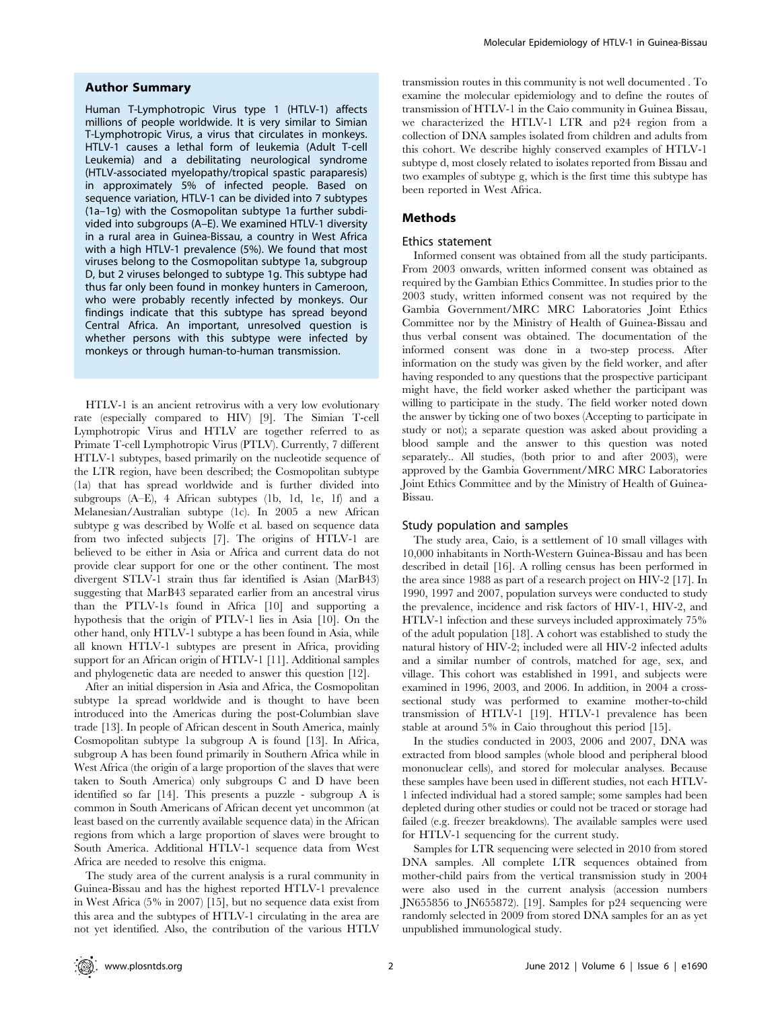## Author Summary

Human T-Lymphotropic Virus type 1 (HTLV-1) affects millions of people worldwide. It is very similar to Simian T-Lymphotropic Virus, a virus that circulates in monkeys. HTLV-1 causes a lethal form of leukemia (Adult T-cell Leukemia) and a debilitating neurological syndrome (HTLV-associated myelopathy/tropical spastic paraparesis) in approximately 5% of infected people. Based on sequence variation, HTLV-1 can be divided into 7 subtypes (1a–1g) with the Cosmopolitan subtype 1a further subdivided into subgroups (A–E). We examined HTLV-1 diversity in a rural area in Guinea-Bissau, a country in West Africa with a high HTLV-1 prevalence (5%). We found that most viruses belong to the Cosmopolitan subtype 1a, subgroup D, but 2 viruses belonged to subtype 1g. This subtype had thus far only been found in monkey hunters in Cameroon, who were probably recently infected by monkeys. Our findings indicate that this subtype has spread beyond Central Africa. An important, unresolved question is whether persons with this subtype were infected by monkeys or through human-to-human transmission.

HTLV-1 is an ancient retrovirus with a very low evolutionary rate (especially compared to HIV) [9]. The Simian T-cell Lymphotropic Virus and HTLV are together referred to as Primate T-cell Lymphotropic Virus (PTLV). Currently, 7 different HTLV-1 subtypes, based primarily on the nucleotide sequence of the LTR region, have been described; the Cosmopolitan subtype (1a) that has spread worldwide and is further divided into subgroups (A–E), 4 African subtypes (1b, 1d, 1e, 1f) and a Melanesian/Australian subtype (1c). In 2005 a new African subtype g was described by Wolfe et al. based on sequence data from two infected subjects [7]. The origins of HTLV-1 are believed to be either in Asia or Africa and current data do not provide clear support for one or the other continent. The most divergent STLV-1 strain thus far identified is Asian (MarB43) suggesting that MarB43 separated earlier from an ancestral virus than the PTLV-1s found in Africa [10] and supporting a hypothesis that the origin of PTLV-1 lies in Asia [10]. On the other hand, only HTLV-1 subtype a has been found in Asia, while all known HTLV-1 subtypes are present in Africa, providing support for an African origin of HTLV-1 [11]. Additional samples and phylogenetic data are needed to answer this question [12].

After an initial dispersion in Asia and Africa, the Cosmopolitan subtype 1a spread worldwide and is thought to have been introduced into the Americas during the post-Columbian slave trade [13]. In people of African descent in South America, mainly Cosmopolitan subtype 1a subgroup A is found [13]. In Africa, subgroup A has been found primarily in Southern Africa while in West Africa (the origin of a large proportion of the slaves that were taken to South America) only subgroups C and D have been identified so far [14]. This presents a puzzle - subgroup A is common in South Americans of African decent yet uncommon (at least based on the currently available sequence data) in the African regions from which a large proportion of slaves were brought to South America. Additional HTLV-1 sequence data from West Africa are needed to resolve this enigma.

The study area of the current analysis is a rural community in Guinea-Bissau and has the highest reported HTLV-1 prevalence in West Africa (5% in 2007) [15], but no sequence data exist from this area and the subtypes of HTLV-1 circulating in the area are not yet identified. Also, the contribution of the various HTLV

transmission routes in this community is not well documented . To examine the molecular epidemiology and to define the routes of transmission of HTLV-1 in the Caio community in Guinea Bissau, we characterized the HTLV-1 LTR and p24 region from a collection of DNA samples isolated from children and adults from this cohort. We describe highly conserved examples of HTLV-1 subtype d, most closely related to isolates reported from Bissau and two examples of subtype g, which is the first time this subtype has been reported in West Africa.

## Methods

# Ethics statement

Informed consent was obtained from all the study participants. From 2003 onwards, written informed consent was obtained as required by the Gambian Ethics Committee. In studies prior to the 2003 study, written informed consent was not required by the Gambia Government/MRC MRC Laboratories Joint Ethics Committee nor by the Ministry of Health of Guinea-Bissau and thus verbal consent was obtained. The documentation of the informed consent was done in a two-step process. After information on the study was given by the field worker, and after having responded to any questions that the prospective participant might have, the field worker asked whether the participant was willing to participate in the study. The field worker noted down the answer by ticking one of two boxes (Accepting to participate in study or not); a separate question was asked about providing a blood sample and the answer to this question was noted separately.. All studies, (both prior to and after 2003), were approved by the Gambia Government/MRC MRC Laboratories Joint Ethics Committee and by the Ministry of Health of Guinea-Bissau.

### Study population and samples

The study area, Caio, is a settlement of 10 small villages with 10,000 inhabitants in North-Western Guinea-Bissau and has been described in detail [16]. A rolling census has been performed in the area since 1988 as part of a research project on HIV-2 [17]. In 1990, 1997 and 2007, population surveys were conducted to study the prevalence, incidence and risk factors of HIV-1, HIV-2, and HTLV-1 infection and these surveys included approximately 75% of the adult population [18]. A cohort was established to study the natural history of HIV-2; included were all HIV-2 infected adults and a similar number of controls, matched for age, sex, and village. This cohort was established in 1991, and subjects were examined in 1996, 2003, and 2006. In addition, in 2004 a crosssectional study was performed to examine mother-to-child transmission of HTLV-1 [19]. HTLV-1 prevalence has been stable at around 5% in Caio throughout this period [15].

In the studies conducted in 2003, 2006 and 2007, DNA was extracted from blood samples (whole blood and peripheral blood mononuclear cells), and stored for molecular analyses. Because these samples have been used in different studies, not each HTLV-1 infected individual had a stored sample; some samples had been depleted during other studies or could not be traced or storage had failed (e.g. freezer breakdowns). The available samples were used for HTLV-1 sequencing for the current study.

Samples for LTR sequencing were selected in 2010 from stored DNA samples. All complete LTR sequences obtained from mother-child pairs from the vertical transmission study in 2004 were also used in the current analysis (accession numbers JN655856 to JN655872). [19]. Samples for p24 sequencing were randomly selected in 2009 from stored DNA samples for an as yet unpublished immunological study.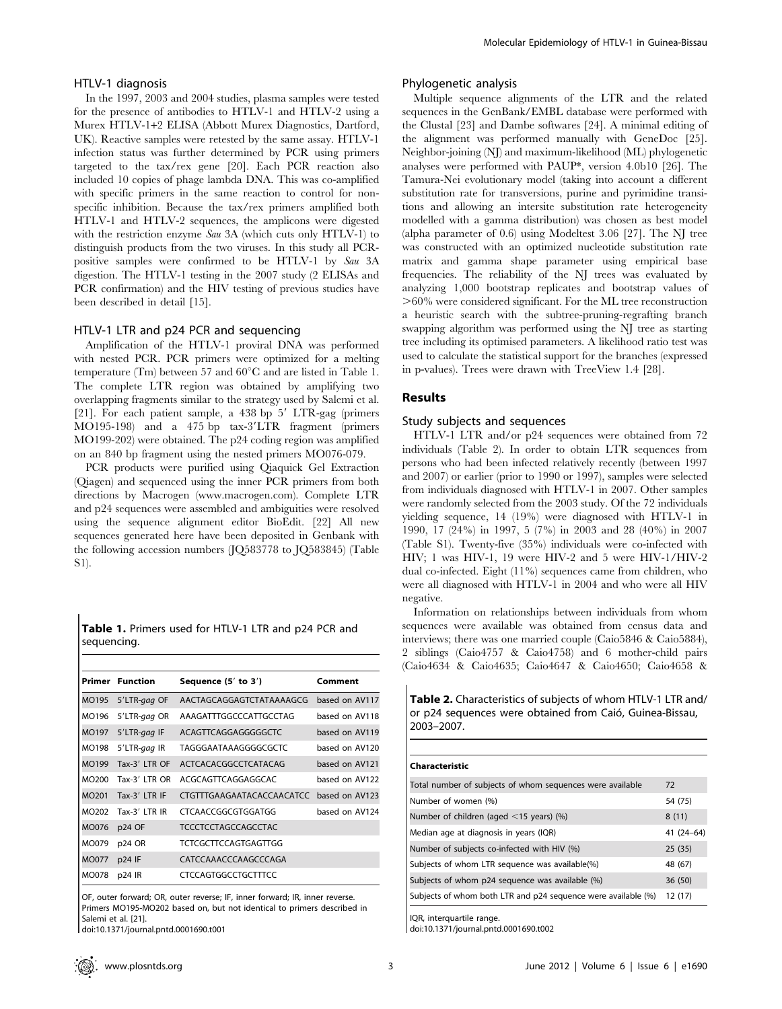#### HTLV-1 diagnosis

In the 1997, 2003 and 2004 studies, plasma samples were tested for the presence of antibodies to HTLV-1 and HTLV-2 using a Murex HTLV-1+2 ELISA (Abbott Murex Diagnostics, Dartford, UK). Reactive samples were retested by the same assay. HTLV-1 infection status was further determined by PCR using primers targeted to the tax/rex gene [20]. Each PCR reaction also included 10 copies of phage lambda DNA. This was co-amplified with specific primers in the same reaction to control for nonspecific inhibition. Because the tax/rex primers amplified both HTLV-1 and HTLV-2 sequences, the amplicons were digested with the restriction enzyme Sau 3A (which cuts only HTLV-1) to distinguish products from the two viruses. In this study all PCRpositive samples were confirmed to be HTLV-1 by Sau 3A digestion. The HTLV-1 testing in the 2007 study (2 ELISAs and PCR confirmation) and the HIV testing of previous studies have been described in detail [15].

# HTLV-1 LTR and p24 PCR and sequencing

Amplification of the HTLV-1 proviral DNA was performed with nested PCR. PCR primers were optimized for a melting temperature (Tm) between 57 and  $60^{\circ}$ C and are listed in Table 1. The complete LTR region was obtained by amplifying two overlapping fragments similar to the strategy used by Salemi et al. [21]. For each patient sample, a  $438$  bp  $5'$  LTR-gag (primers  $MO195-198$ ) and a 475 bp tax-3'LTR fragment (primers MO199-202) were obtained. The p24 coding region was amplified on an 840 bp fragment using the nested primers MO076-079.

PCR products were purified using Qiaquick Gel Extraction (Qiagen) and sequenced using the inner PCR primers from both directions by Macrogen (www.macrogen.com). Complete LTR and p24 sequences were assembled and ambiguities were resolved using the sequence alignment editor BioEdit. [22] All new sequences generated here have been deposited in Genbank with the following accession numbers (JQ583778 to JQ583845) (Table S1).

Table 1. Primers used for HTLV-1 LTR and p24 PCR and sequencing.

|       | <b>Primer</b> Function | Sequence (5' to 3')         | Comment        |
|-------|------------------------|-----------------------------|----------------|
| MO195 | 5'LTR-gag OF           | AACTAGCAGGAGTCTATAAAAGCG    | based on AV117 |
| MO196 | 5'LTR-gag OR           | AAAGATTTGGCCCATTGCCTAG      | based on AV118 |
| MO197 | 5'LTR-gag IF           | ACAGTTCAGGAGGGGGCTC         | based on AV119 |
| MO198 | 5'LTR-gag IR           | <b>TAGGGAATAAAGGGGCGCTC</b> | based on AV120 |
| MO199 | Tax-3' LTR OF          | ACTCACACGGCCTCATACAG        | based on AV121 |
| MO200 | Tax-3' LTR OR          | ACGCAGTTCAGGAGGCAC          | based on AV122 |
| MO201 | Tax-3' LTR IF          | CTGTTTGAAGAATACACCAACATCC   | based on AV123 |
| MO202 | Tax-3' LTR IR          | CTCAACCGGCGTGGATGG          | based on AV124 |
| MO076 | p24 OF                 | <b>TCCCTCCTAGCCAGCCTAC</b>  |                |
| MO079 | p24 OR                 | TCTCGCTTCCAGTGAGTTGG        |                |
| MO077 | $p24$ IF               | CATCCAAACCCAAGCCCAGA        |                |
| MO078 | p24 IR                 | <b>CTCCAGTGGCCTGCTTTCC</b>  |                |

OF, outer forward; OR, outer reverse; IF, inner forward; IR, inner reverse. Primers MO195-MO202 based on, but not identical to primers described in Salemi et al. [21].

doi:10.1371/journal.pntd.0001690.t001

#### Phylogenetic analysis

Multiple sequence alignments of the LTR and the related sequences in the GenBank/EMBL database were performed with the Clustal [23] and Dambe softwares [24]. A minimal editing of the alignment was performed manually with GeneDoc [25]. Neighbor-joining (NJ) and maximum-likelihood (ML) phylogenetic analyses were performed with PAUP\*, version 4.0b10 [26]. The Tamura-Nei evolutionary model (taking into account a different substitution rate for transversions, purine and pyrimidine transitions and allowing an intersite substitution rate heterogeneity modelled with a gamma distribution) was chosen as best model (alpha parameter of 0.6) using Modeltest 3.06 [27]. The NJ tree was constructed with an optimized nucleotide substitution rate matrix and gamma shape parameter using empirical base frequencies. The reliability of the NJ trees was evaluated by analyzing 1,000 bootstrap replicates and bootstrap values of  $>60\%$  were considered significant. For the ML tree reconstruction a heuristic search with the subtree-pruning-regrafting branch swapping algorithm was performed using the NJ tree as starting tree including its optimised parameters. A likelihood ratio test was used to calculate the statistical support for the branches (expressed in p-values). Trees were drawn with TreeView 1.4 [28].

# Results

#### Study subjects and sequences

HTLV-1 LTR and/or p24 sequences were obtained from 72 individuals (Table 2). In order to obtain LTR sequences from persons who had been infected relatively recently (between 1997 and 2007) or earlier (prior to 1990 or 1997), samples were selected from individuals diagnosed with HTLV-1 in 2007. Other samples were randomly selected from the 2003 study. Of the 72 individuals yielding sequence, 14 (19%) were diagnosed with HTLV-1 in 1990, 17 (24%) in 1997, 5 (7%) in 2003 and 28 (40%) in 2007 (Table S1). Twenty-five (35%) individuals were co-infected with HIV; 1 was HIV-1, 19 were HIV-2 and 5 were HIV-1/HIV-2 dual co-infected. Eight (11%) sequences came from children, who were all diagnosed with HTLV-1 in 2004 and who were all HIV negative.

Information on relationships between individuals from whom sequences were available was obtained from census data and interviews; there was one married couple (Caio5846 & Caio5884), 2 siblings (Caio4757 & Caio4758) and 6 mother-child pairs (Caio4634 & Caio4635; Caio4647 & Caio4650; Caio4658 &

Table 2. Characteristics of subjects of whom HTLV-1 LTR and/ or p24 sequences were obtained from Caió, Guinea-Bissau, 2003–2007.

#### Characteristic

| Total number of subjects of whom sequences were available     | 72          |
|---------------------------------------------------------------|-------------|
| Number of women (%)                                           | 54 (75)     |
| Number of children (aged $\leq$ 15 years) (%)                 | 8(11)       |
| Median age at diagnosis in years (IQR)                        | $41(24-64)$ |
| Number of subjects co-infected with HIV (%)                   | 25(35)      |
| Subjects of whom LTR sequence was available(%)                | 48 (67)     |
| Subjects of whom p24 sequence was available (%)               | 36 (50)     |
| Subjects of whom both LTR and p24 sequence were available (%) | 12(17)      |

IQR, interquartile range.

doi:10.1371/journal.pntd.0001690.t002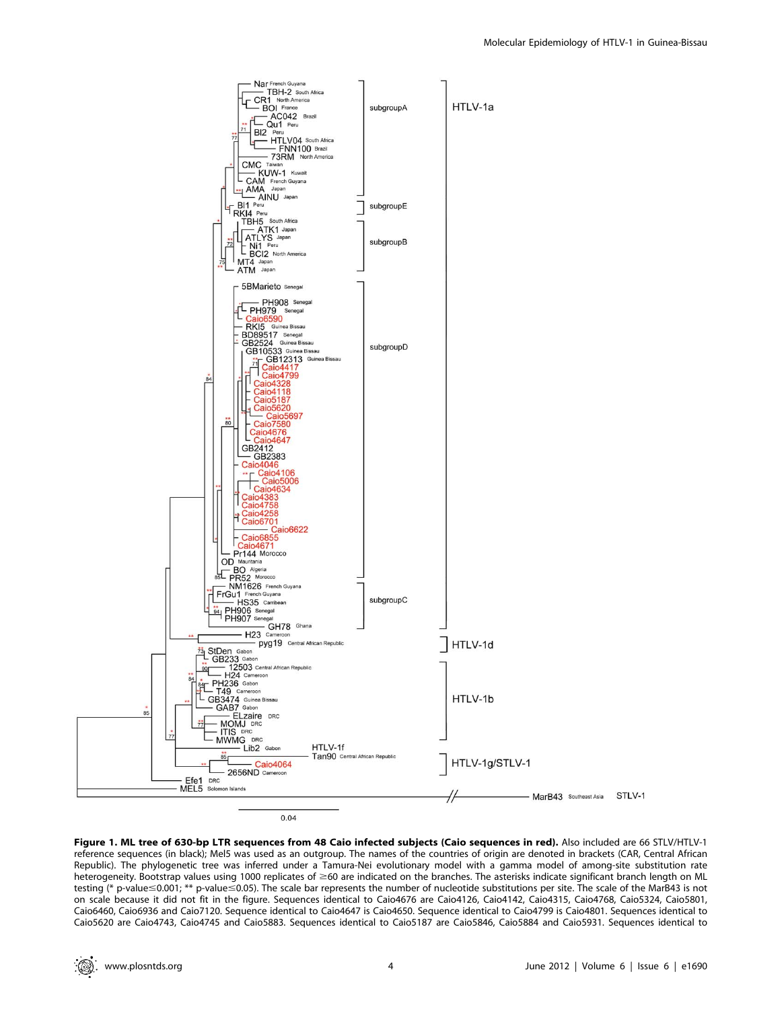

Figure 1. ML tree of 630-bp LTR sequences from 48 Caio infected subjects (Caio sequences in red). Also included are 66 STLV/HTLV-1 reference sequences (in black); Mel5 was used as an outgroup. The names of the countries of origin are denoted in brackets (CAR, Central African Republic). The phylogenetic tree was inferred under a Tamura-Nei evolutionary model with a gamma model of among-site substitution rate heterogeneity. Bootstrap values using 1000 replicates of ≥60 are indicated on the branches. The asterisks indicate significant branch length on ML testing (\* p-value  $\leq 0.001$ ; \*\* p-value  $\leq 0.05$ ). The scale bar represents the number of nucleotide substitutions per site. The scale of the MarB43 is not on scale because it did not fit in the figure. Sequences identical to Caio4676 are Caio4126, Caio4142, Caio4315, Caio4768, Caio5324, Caio5801, Caio6460, Caio6936 and Caio7120. Sequence identical to Caio4647 is Caio4650. Sequence identical to Caio4799 is Caio4801. Sequences identical to Caio5620 are Caio4743, Caio4745 and Caio5883. Sequences identical to Caio5187 are Caio5846, Caio5884 and Caio5931. Sequences identical to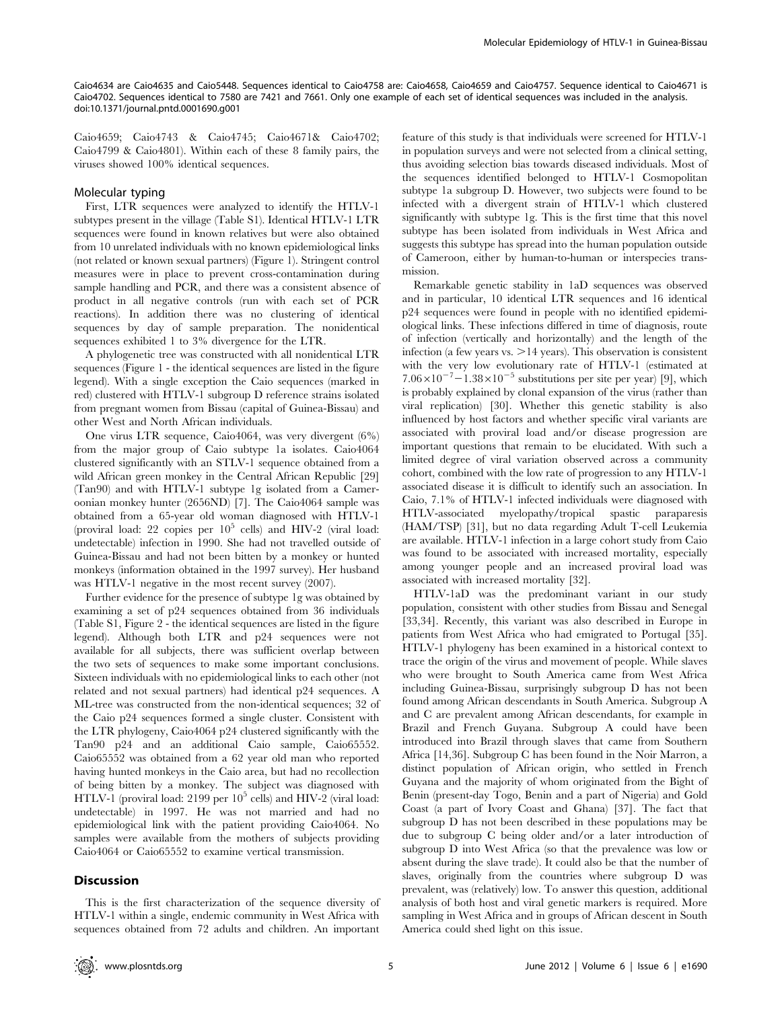Caio4634 are Caio4635 and Caio5448. Sequences identical to Caio4758 are: Caio4658, Caio4659 and Caio4757. Sequence identical to Caio4671 is Caio4702. Sequences identical to 7580 are 7421 and 7661. Only one example of each set of identical sequences was included in the analysis. doi:10.1371/journal.pntd.0001690.g001

Caio4659; Caio4743 & Caio4745; Caio4671& Caio4702; Caio4799 & Caio4801). Within each of these 8 family pairs, the viruses showed 100% identical sequences.

## Molecular typing

First, LTR sequences were analyzed to identify the HTLV-1 subtypes present in the village (Table S1). Identical HTLV-1 LTR sequences were found in known relatives but were also obtained from 10 unrelated individuals with no known epidemiological links (not related or known sexual partners) (Figure 1). Stringent control measures were in place to prevent cross-contamination during sample handling and PCR, and there was a consistent absence of product in all negative controls (run with each set of PCR reactions). In addition there was no clustering of identical sequences by day of sample preparation. The nonidentical sequences exhibited 1 to 3% divergence for the LTR.

A phylogenetic tree was constructed with all nonidentical LTR sequences (Figure 1 - the identical sequences are listed in the figure legend). With a single exception the Caio sequences (marked in red) clustered with HTLV-1 subgroup D reference strains isolated from pregnant women from Bissau (capital of Guinea-Bissau) and other West and North African individuals.

One virus LTR sequence, Caio4064, was very divergent (6%) from the major group of Caio subtype 1a isolates. Caio4064 clustered significantly with an STLV-1 sequence obtained from a wild African green monkey in the Central African Republic [29] (Tan90) and with HTLV-1 subtype 1g isolated from a Cameroonian monkey hunter (2656ND) [7]. The Caio4064 sample was obtained from a 65-year old woman diagnosed with HTLV-1 (proviral load: 22 copies per  $10^5$  cells) and HIV-2 (viral load: undetectable) infection in 1990. She had not travelled outside of Guinea-Bissau and had not been bitten by a monkey or hunted monkeys (information obtained in the 1997 survey). Her husband was HTLV-1 negative in the most recent survey (2007).

Further evidence for the presence of subtype 1g was obtained by examining a set of p24 sequences obtained from 36 individuals (Table S1, Figure 2 - the identical sequences are listed in the figure legend). Although both LTR and p24 sequences were not available for all subjects, there was sufficient overlap between the two sets of sequences to make some important conclusions. Sixteen individuals with no epidemiological links to each other (not related and not sexual partners) had identical p24 sequences. A ML-tree was constructed from the non-identical sequences; 32 of the Caio p24 sequences formed a single cluster. Consistent with the LTR phylogeny, Caio4064 p24 clustered significantly with the Tan90 p24 and an additional Caio sample, Caio65552. Caio65552 was obtained from a 62 year old man who reported having hunted monkeys in the Caio area, but had no recollection of being bitten by a monkey. The subject was diagnosed with HTLV-1 (proviral load: 2199 per  $10^5$  cells) and HIV-2 (viral load: undetectable) in 1997. He was not married and had no epidemiological link with the patient providing Caio4064. No samples were available from the mothers of subjects providing Caio4064 or Caio65552 to examine vertical transmission.

## **Discussion**

This is the first characterization of the sequence diversity of HTLV-1 within a single, endemic community in West Africa with sequences obtained from 72 adults and children. An important feature of this study is that individuals were screened for HTLV-1 in population surveys and were not selected from a clinical setting, thus avoiding selection bias towards diseased individuals. Most of the sequences identified belonged to HTLV-1 Cosmopolitan subtype 1a subgroup D. However, two subjects were found to be infected with a divergent strain of HTLV-1 which clustered significantly with subtype 1g. This is the first time that this novel subtype has been isolated from individuals in West Africa and suggests this subtype has spread into the human population outside of Cameroon, either by human-to-human or interspecies transmission.

Remarkable genetic stability in 1aD sequences was observed and in particular, 10 identical LTR sequences and 16 identical p24 sequences were found in people with no identified epidemiological links. These infections differed in time of diagnosis, route of infection (vertically and horizontally) and the length of the infection (a few years vs.  $>14$  years). This observation is consistent with the very low evolutionary rate of HTLV-1 (estimated at  $7.06 \times 10^{-7} - 1.38 \times 10^{-5}$  substitutions per site per year) [9], which is probably explained by clonal expansion of the virus (rather than viral replication) [30]. Whether this genetic stability is also influenced by host factors and whether specific viral variants are associated with proviral load and/or disease progression are important questions that remain to be elucidated. With such a limited degree of viral variation observed across a community cohort, combined with the low rate of progression to any HTLV-1 associated disease it is difficult to identify such an association. In Caio, 7.1% of HTLV-1 infected individuals were diagnosed with HTLV-associated myelopathy/tropical spastic paraparesis (HAM/TSP) [31], but no data regarding Adult T-cell Leukemia are available. HTLV-1 infection in a large cohort study from Caio was found to be associated with increased mortality, especially among younger people and an increased proviral load was associated with increased mortality [32].

HTLV-1aD was the predominant variant in our study population, consistent with other studies from Bissau and Senegal [33,34]. Recently, this variant was also described in Europe in patients from West Africa who had emigrated to Portugal [35]. HTLV-1 phylogeny has been examined in a historical context to trace the origin of the virus and movement of people. While slaves who were brought to South America came from West Africa including Guinea-Bissau, surprisingly subgroup D has not been found among African descendants in South America. Subgroup A and C are prevalent among African descendants, for example in Brazil and French Guyana. Subgroup A could have been introduced into Brazil through slaves that came from Southern Africa [14,36]. Subgroup C has been found in the Noir Marron, a distinct population of African origin, who settled in French Guyana and the majority of whom originated from the Bight of Benin (present-day Togo, Benin and a part of Nigeria) and Gold Coast (a part of Ivory Coast and Ghana) [37]. The fact that subgroup D has not been described in these populations may be due to subgroup C being older and/or a later introduction of subgroup D into West Africa (so that the prevalence was low or absent during the slave trade). It could also be that the number of slaves, originally from the countries where subgroup D was prevalent, was (relatively) low. To answer this question, additional analysis of both host and viral genetic markers is required. More sampling in West Africa and in groups of African descent in South America could shed light on this issue.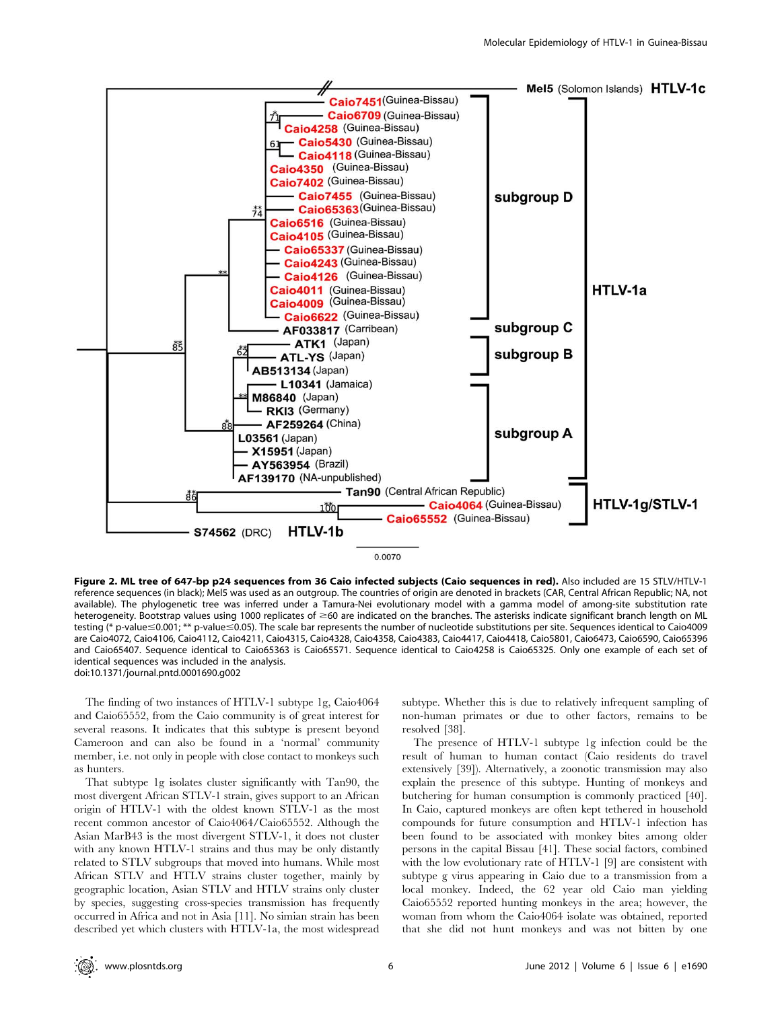

Figure 2. ML tree of 647-bp p24 sequences from 36 Caio infected subjects (Caio sequences in red). Also included are 15 STLV/HTLV-1 reference sequences (in black); Mel5 was used as an outgroup. The countries of origin are denoted in brackets (CAR, Central African Republic; NA, not available). The phylogenetic tree was inferred under a Tamura-Nei evolutionary model with a gamma model of among-site substitution rate heterogeneity. Bootstrap values using 1000 replicates of  $\geq 60$  are indicated on the branches. The asterisks indicate significant branch length on ML testing (\* p-value≤0.001; \*\* p-value≤0.05). The scale bar represents the number of nucleotide substitutions per site. Sequences identical to Caio4009 are Caio4072, Caio4106, Caio4112, Caio4211, Caio4315, Caio4328, Caio4358, Caio4383, Caio4417, Caio4418, Caio5801, Caio6473, Caio6590, Caio65396 and Caio65407. Sequence identical to Caio65363 is Caio65571. Sequence identical to Caio4258 is Caio65325. Only one example of each set of identical sequences was included in the analysis. doi:10.1371/journal.pntd.0001690.g002

The finding of two instances of HTLV-1 subtype 1g, Caio4064 and Caio65552, from the Caio community is of great interest for several reasons. It indicates that this subtype is present beyond Cameroon and can also be found in a 'normal' community member, i.e. not only in people with close contact to monkeys such as hunters.

That subtype 1g isolates cluster significantly with Tan90, the most divergent African STLV-1 strain, gives support to an African origin of HTLV-1 with the oldest known STLV-1 as the most recent common ancestor of Caio4064/Caio65552. Although the Asian MarB43 is the most divergent STLV-1, it does not cluster with any known HTLV-1 strains and thus may be only distantly related to STLV subgroups that moved into humans. While most African STLV and HTLV strains cluster together, mainly by geographic location, Asian STLV and HTLV strains only cluster by species, suggesting cross-species transmission has frequently occurred in Africa and not in Asia [11]. No simian strain has been described yet which clusters with HTLV-1a, the most widespread

subtype. Whether this is due to relatively infrequent sampling of non-human primates or due to other factors, remains to be resolved [38].

The presence of HTLV-1 subtype 1g infection could be the result of human to human contact (Caio residents do travel extensively [39]). Alternatively, a zoonotic transmission may also explain the presence of this subtype. Hunting of monkeys and butchering for human consumption is commonly practiced [40]. In Caio, captured monkeys are often kept tethered in household compounds for future consumption and HTLV-1 infection has been found to be associated with monkey bites among older persons in the capital Bissau [41]. These social factors, combined with the low evolutionary rate of HTLV-1 [9] are consistent with subtype g virus appearing in Caio due to a transmission from a local monkey. Indeed, the 62 year old Caio man yielding Caio65552 reported hunting monkeys in the area; however, the woman from whom the Caio4064 isolate was obtained, reported that she did not hunt monkeys and was not bitten by one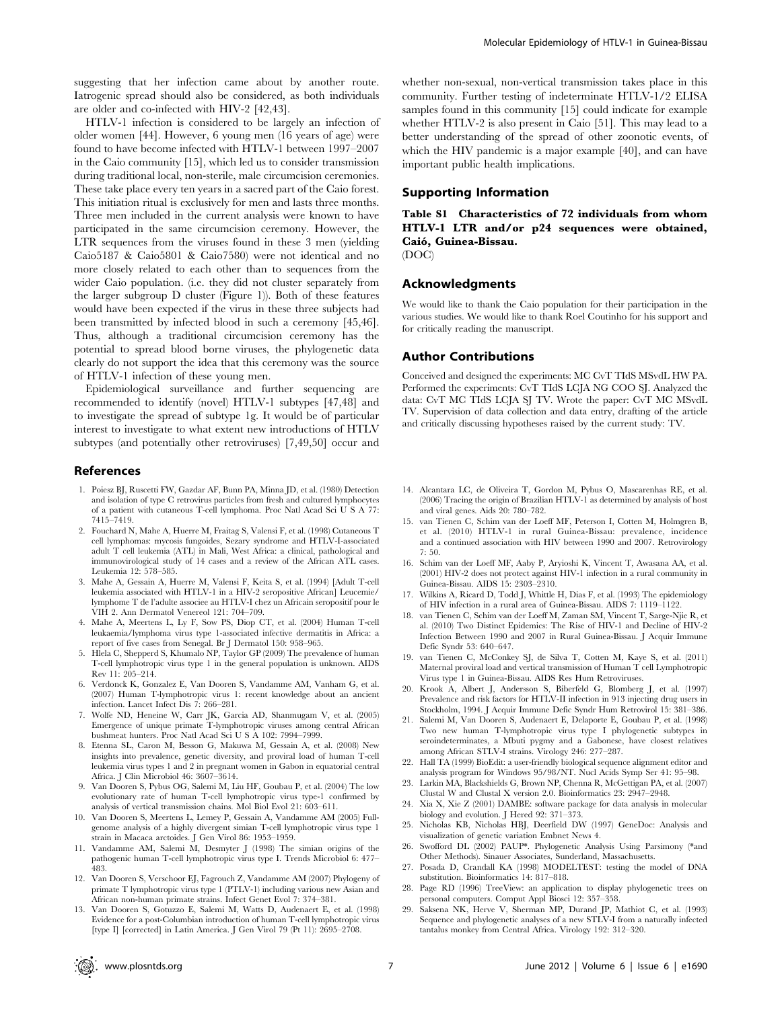suggesting that her infection came about by another route. Iatrogenic spread should also be considered, as both individuals are older and co-infected with HIV-2 [42,43].

HTLV-1 infection is considered to be largely an infection of older women [44]. However, 6 young men (16 years of age) were found to have become infected with HTLV-1 between 1997–2007 in the Caio community [15], which led us to consider transmission during traditional local, non-sterile, male circumcision ceremonies. These take place every ten years in a sacred part of the Caio forest. This initiation ritual is exclusively for men and lasts three months. Three men included in the current analysis were known to have participated in the same circumcision ceremony. However, the LTR sequences from the viruses found in these 3 men (yielding Caio5187 & Caio5801 & Caio7580) were not identical and no more closely related to each other than to sequences from the wider Caio population. (i.e. they did not cluster separately from the larger subgroup D cluster (Figure 1)). Both of these features would have been expected if the virus in these three subjects had been transmitted by infected blood in such a ceremony [45,46]. Thus, although a traditional circumcision ceremony has the potential to spread blood borne viruses, the phylogenetic data clearly do not support the idea that this ceremony was the source of HTLV-1 infection of these young men.

Epidemiological surveillance and further sequencing are recommended to identify (novel) HTLV-1 subtypes [47,48] and to investigate the spread of subtype 1g. It would be of particular interest to investigate to what extent new introductions of HTLV subtypes (and potentially other retroviruses) [7,49,50] occur and

# References

- 1. Poiesz BJ, Ruscetti FW, Gazdar AF, Bunn PA, Minna JD, et al. (1980) Detection and isolation of type C retrovirus particles from fresh and cultured lymphocytes of a patient with cutaneous T-cell lymphoma. Proc Natl Acad Sci U S A 77: 7415–7419.
- 2. Fouchard N, Mahe A, Huerre M, Fraitag S, Valensi F, et al. (1998) Cutaneous T cell lymphomas: mycosis fungoides, Sezary syndrome and HTLV-I-associated adult T cell leukemia (ATL) in Mali, West Africa: a clinical, pathological and immunovirological study of 14 cases and a review of the African ATL cases. Leukemia 12: 578–585.
- 3. Mahe A, Gessain A, Huerre M, Valensi F, Keita S, et al. (1994) [Adult T-cell leukemia associated with HTLV-1 in a HIV-2 seropositive African] Leucemie/ lymphome T de l'adulte associee au HTLV-I chez un Africain seropositif pour le VIH 2. Ann Dermatol Venereol 121: 704–709.
- 4. Mahe A, Meertens L, Ly F, Sow PS, Diop CT, et al. (2004) Human T-cell leukaemia/lymphoma virus type 1-associated infective dermatitis in Africa: a report of five cases from Senegal. Br J Dermatol 150: 958–965.
- 5. Hlela C, Shepperd S, Khumalo NP, Taylor GP (2009) The prevalence of human T-cell lymphotropic virus type 1 in the general population is unknown. AIDS Rev 11: 205–214.
- 6. Verdonck K, Gonzalez E, Van Dooren S, Vandamme AM, Vanham G, et al. (2007) Human T-lymphotropic virus 1: recent knowledge about an ancient infection. Lancet Infect Dis 7: 266–281.
- 7. Wolfe ND, Heneine W, Carr JK, Garcia AD, Shanmugam V, et al. (2005) Emergence of unique primate T-lymphotropic viruses among central African bushmeat hunters. Proc Natl Acad Sci U S A 102: 7994–7999.
- 8. Etenna SL, Caron M, Besson G, Makuwa M, Gessain A, et al. (2008) New insights into prevalence, genetic diversity, and proviral load of human T-cell leukemia virus types 1 and 2 in pregnant women in Gabon in equatorial central Africa. J Clin Microbiol 46: 3607–3614.
- 9. Van Dooren S, Pybus OG, Salemi M, Liu HF, Goubau P, et al. (2004) The low evolutionary rate of human T-cell lymphotropic virus type-1 confirmed by analysis of vertical transmission chains. Mol Biol Evol 21: 603–611.
- 10. Van Dooren S, Meertens L, Lemey P, Gessain A, Vandamme AM (2005) Fullgenome analysis of a highly divergent simian T-cell lymphotropic virus type 1 strain in Macaca arctoides. J Gen Virol 86: 1953–1959.
- 11. Vandamme AM, Salemi M, Desmyter J (1998) The simian origins of the pathogenic human T-cell lymphotropic virus type I. Trends Microbiol 6: 477– 483.
- 12. Van Dooren S, Verschoor EJ, Fagrouch Z, Vandamme AM (2007) Phylogeny of primate T lymphotropic virus type 1 (PTLV-1) including various new Asian and African non-human primate strains. Infect Genet Evol 7: 374–381.
- 13. Van Dooren S, Gotuzzo E, Salemi M, Watts D, Audenaert E, et al. (1998) Evidence for a post-Columbian introduction of human T-cell lymphotropic virus [type I] [corrected] in Latin America. J Gen Virol 79 (Pt 11): 2695–2708.

whether non-sexual, non-vertical transmission takes place in this community. Further testing of indeterminate HTLV-1/2 ELISA samples found in this community [15] could indicate for example whether HTLV-2 is also present in Caio [51]. This may lead to a better understanding of the spread of other zoonotic events, of which the HIV pandemic is a major example [40], and can have important public health implications.

# Supporting Information

Table S1 Characteristics of 72 individuals from whom HTLV-1 LTR and/or p24 sequences were obtained, Caio´, Guinea-Bissau.

(DOC)

## Acknowledgments

We would like to thank the Caio population for their participation in the various studies. We would like to thank Roel Coutinho for his support and for critically reading the manuscript.

### Author Contributions

Conceived and designed the experiments: MC CvT TIdS MSvdL HW PA. Performed the experiments: CvT TIdS LCJA NG COO SJ. Analyzed the data: CvT MC TIdS LCJA SJ TV. Wrote the paper: CvT MC MSvdL TV. Supervision of data collection and data entry, drafting of the article and critically discussing hypotheses raised by the current study: TV.

- 14. Alcantara LC, de Oliveira T, Gordon M, Pybus O, Mascarenhas RE, et al. (2006) Tracing the origin of Brazilian HTLV-1 as determined by analysis of host and viral genes. Aids 20: 780–782.
- 15. van Tienen C, Schim van der Loeff MF, Peterson I, Cotten M, Holmgren B, et al. (2010) HTLV-1 in rural Guinea-Bissau: prevalence, incidence and a continued association with HIV between 1990 and 2007. Retrovirology 7: 50.
- 16. Schim van der Loeff MF, Aaby P, Aryioshi K, Vincent T, Awasana AA, et al. (2001) HIV-2 does not protect against HIV-1 infection in a rural community in Guinea-Bissau. AIDS 15: 2303–2310.
- 17. Wilkins A, Ricard D, Todd J, Whittle H, Dias F, et al. (1993) The epidemiology of HIV infection in a rural area of Guinea-Bissau. AIDS 7: 1119–1122.
- 18. van Tienen C, Schim van der Loeff M, Zaman SM, Vincent T, Sarge-Njie R, et al. (2010) Two Distinct Epidemics: The Rise of HIV-1 and Decline of HIV-2 Infection Between 1990 and 2007 in Rural Guinea-Bissau. J Acquir Immune Defic Syndr 53: 640–647.
- 19. van Tienen C, McConkey SJ, de Silva T, Cotten M, Kaye S, et al. (2011) Maternal proviral load and vertical transmission of Human T cell Lymphotropic Virus type 1 in Guinea-Bissau. AIDS Res Hum Retroviruses.
- 20. Krook A, Albert J, Andersson S, Biberfeld G, Blomberg J, et al. (1997) Prevalence and risk factors for HTLV-II infection in 913 injecting drug users in Stockholm, 1994. J Acquir Immune Defic Syndr Hum Retrovirol 15: 381–386.
- 21. Salemi M, Van Dooren S, Audenaert E, Delaporte E, Goubau P, et al. (1998) Two new human T-lymphotropic virus type I phylogenetic subtypes in seroindeterminates, a Mbuti pygmy and a Gabonese, have closest relatives among African STLV-I strains. Virology 246: 277–287.
- 22. Hall TA (1999) BioEdit: a user-friendly biological sequence alignment editor and analysis program for Windows 95/98/NT. Nucl Acids Symp Ser 41: 95–98.
- 23. Larkin MA, Blackshields G, Brown NP, Chenna R, McGettigan PA, et al. (2007) Clustal W and Clustal X version 2.0. Bioinformatics 23: 2947–2948.
- 24. Xia X, Xie Z (2001) DAMBE: software package for data analysis in molecular biology and evolution. J Hered 92: 371–373.
- 25. Nicholas KB, Nicholas HBJ, Deerfield DW (1997) GeneDoc: Analysis and visualization of genetic variation Embnet News 4.
- 26. Swofford DL (2002) PAUP\*. Phylogenetic Analysis Using Parsimony (\*and Other Methods). Sinauer Associates, Sunderland, Massachusetts.
- 27. Posada D, Crandall KA (1998) MODELTEST: testing the model of DNA substitution. Bioinformatics 14: 817–818.
- 28. Page RD (1996) TreeView: an application to display phylogenetic trees on personal computers. Comput Appl Biosci 12: 357–358.
- 29. Saksena NK, Herve V, Sherman MP, Durand JP, Mathiot C, et al. (1993) Sequence and phylogenetic analyses of a new STLV-I from a naturally infected tantalus monkey from Central Africa. Virology 192: 312–320.